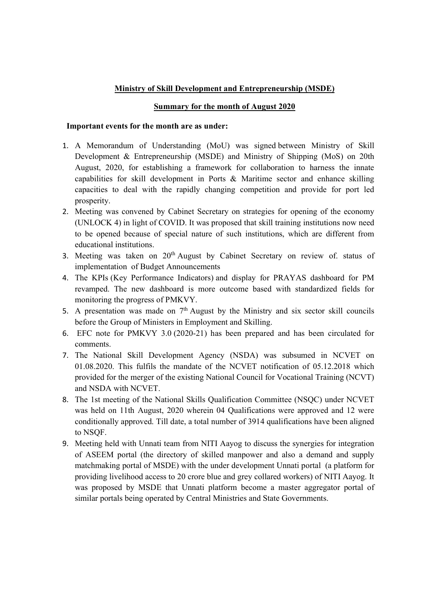## Ministry of Skill Development and Entrepreneurship (MSDE)

## Summary for the month of August 2020

## Important events for the month are as under:

- 1. A Memorandum of Understanding (MoU) was signed between Ministry of Skill Development & Entrepreneurship (MSDE) and Ministry of Shipping (MoS) on 20th August, 2020, for establishing a framework for collaboration to harness the innate capabilities for skill development in Ports & Maritime sector and enhance skilling capacities to deal with the rapidly changing competition and provide for port led prosperity.
- 2. Meeting was convened by Cabinet Secretary on strategies for opening of the economy (UNLOCK 4) in light of COVID. It was proposed that skill training institutions now need to be opened because of special nature of such institutions, which are different from educational institutions.
- 3. Meeting was taken on  $20<sup>th</sup>$  August by Cabinet Secretary on review of. status of implementation of Budget Announcements
- 4. The KPIs (Key Performance Indicators) and display for PRAYAS dashboard for PM revamped. The new dashboard is more outcome based with standardized fields for monitoring the progress of PMKVY.
- 5. A presentation was made on  $7<sup>th</sup>$  August by the Ministry and six sector skill councils before the Group of Ministers in Employment and Skilling.
- 6. EFC note for PMKVY 3.0 (2020-21) has been prepared and has been circulated for comments.
- 7. The National Skill Development Agency (NSDA) was subsumed in NCVET on 01.08.2020. This fulfils the mandate of the NCVET notification of 05.12.2018 which provided for the merger of the existing National Council for Vocational Training (NCVT) and NSDA with NCVET.
- 8. The 1st meeting of the National Skills Qualification Committee (NSQC) under NCVET was held on 11th August, 2020 wherein 04 Qualifications were approved and 12 were conditionally approved. Till date, a total number of 3914 qualifications have been aligned to NSQF.
- 9. Meeting held with Unnati team from NITI Aayog to discuss the synergies for integration of ASEEM portal (the directory of skilled manpower and also a demand and supply matchmaking portal of MSDE) with the under development Unnati portal (a platform for providing livelihood access to 20 crore blue and grey collared workers) of NITI Aayog. It was proposed by MSDE that Unnati platform become a master aggregator portal of similar portals being operated by Central Ministries and State Governments.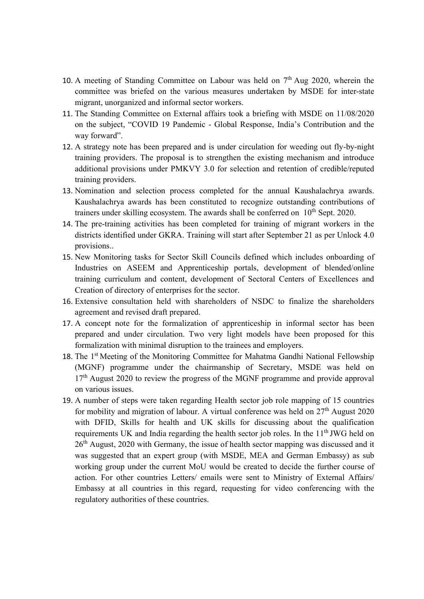- 10. A meeting of Standing Committee on Labour was held on  $7<sup>th</sup>$  Aug 2020, wherein the committee was briefed on the various measures undertaken by MSDE for inter-state migrant, unorganized and informal sector workers.
- 11. The Standing Committee on External affairs took a briefing with MSDE on 11/08/2020 on the subject, "COVID 19 Pandemic - Global Response, India's Contribution and the way forward".
- 12. A strategy note has been prepared and is under circulation for weeding out fly-by-night training providers. The proposal is to strengthen the existing mechanism and introduce additional provisions under PMKVY 3.0 for selection and retention of credible/reputed training providers.
- 13. Nomination and selection process completed for the annual Kaushalachrya awards. Kaushalachrya awards has been constituted to recognize outstanding contributions of trainers under skilling ecosystem. The awards shall be conferred on  $10<sup>th</sup>$  Sept. 2020.
- 14. The pre-training activities has been completed for training of migrant workers in the districts identified under GKRA. Training will start after September 21 as per Unlock 4.0 provisions..
- 15. New Monitoring tasks for Sector Skill Councils defined which includes onboarding of Industries on ASEEM and Apprenticeship portals, development of blended/online training curriculum and content, development of Sectoral Centers of Excellences and Creation of directory of enterprises for the sector.
- 16. Extensive consultation held with shareholders of NSDC to finalize the shareholders agreement and revised draft prepared.
- 17. A concept note for the formalization of apprenticeship in informal sector has been prepared and under circulation. Two very light models have been proposed for this formalization with minimal disruption to the trainees and employers.
- 18. The 1<sup>st</sup> Meeting of the Monitoring Committee for Mahatma Gandhi National Fellowship (MGNF) programme under the chairmanship of Secretary, MSDE was held on  $17<sup>th</sup>$  August 2020 to review the progress of the MGNF programme and provide approval on various issues.
- 19. A number of steps were taken regarding Health sector job role mapping of 15 countries for mobility and migration of labour. A virtual conference was held on  $27<sup>th</sup>$  August 2020 with DFID, Skills for health and UK skills for discussing about the qualification requirements UK and India regarding the health sector job roles. In the 11<sup>th</sup> JWG held on  $26<sup>th</sup>$  August, 2020 with Germany, the issue of health sector mapping was discussed and it was suggested that an expert group (with MSDE, MEA and German Embassy) as sub working group under the current MoU would be created to decide the further course of action. For other countries Letters/ emails were sent to Ministry of External Affairs/ Embassy at all countries in this regard, requesting for video conferencing with the regulatory authorities of these countries.